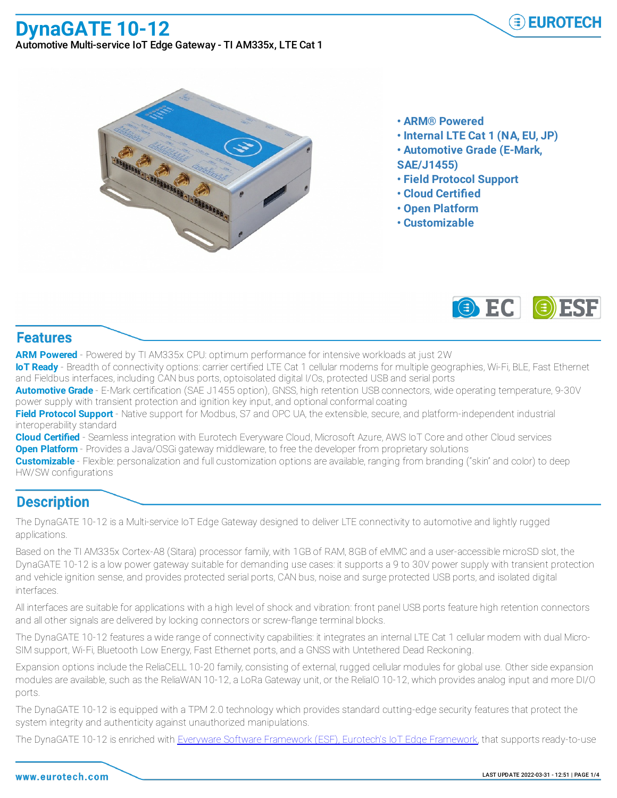www.eurotech.com

- 
- **• ARM® Powered**
- **• Internal LTE Cat 1 (NA, EU, JP)**
- **• Automotive Grade (E-Mark,**
- **SAE/J1455)**
- **• Field Protocol Support**
- **• Cloud Certified**
- **• Open Platform**
- **• Customizable**



## **Features**

**ARM Powered** - Powered by TI AM335x CPU: optimum performance for intensive workloads at just 2W

**IoT Ready** - Breadth of connectivity options: carrier certified LTE Cat 1 cellular modems for multiple geographies, Wi-Fi, BLE, Fast Ethernet and Fieldbus interfaces, including CAN bus ports, optoisolated digital I/Os, protected USB and serial ports

**Automotive Grade** - E-Mark certification (SAE J1455 option), GNSS, high retention USB connectors, wide operating temperature, 9-30V power supply with transient protection and ignition key input, and optional conformal coating

**Field Protocol Support** - Native support for Modbus, S7 and OPC UA, the extensible, secure, and platform-independent industrial interoperability standard

**Cloud Certified** - Seamless integration with Eurotech Everyware Cloud, Microsoft Azure, AWS IoT Core and other Cloud services **Open Platform** - Provides a Java/OSGi gateway middleware, to free the developer from proprietary solutions

**Customizable** - Flexible: personalization and full customization options are available, ranging from branding ("skin" and color) to deep HW/SW configurations

## **Description**

The DynaGATE 10-12 is a Multi-service IoT Edge Gateway designed to deliver LTE connectivity to automotive and lightly rugged applications.

Based on the TI AM335x Cortex-A8 (Sitara) processor family, with 1GB of RAM, 8GB of eMMC and a user-accessible microSD slot, the DynaGATE 10-12 is a low power gateway suitable for demanding use cases: it supports a 9 to 30V power supply with transient protection and vehicle ignition sense, and provides protected serial ports, CAN bus, noise and surge protected USB ports, and isolated digital interfaces.

All interfaces are suitable for applications with a high level of shock and vibration: front panel USB ports feature high retention connectors and all other signals are delivered by locking connectors or screw-flange terminal blocks.

The DynaGATE 10-12 features a wide range of connectivity capabilities: it integrates an internal LTE Cat 1 cellular modem with dual Micro-SIM support, Wi-Fi, Bluetooth Low Energy, Fast Ethernet ports, and a GNSS with Untethered Dead Reckoning.

Expansion options include the ReliaCELL 10-20 family, consisting of external, rugged cellular modules for global use. Other side expansion modules are available, such as the ReliaWAN 10-12, a LoRa Gateway unit, or the ReliaIO 10-12, which provides analog input and more DI/O ports.

The DynaGATE 10-12 is equipped with a TPM 2.0 technology which provides standard cutting-edge security features that protect the system integrity and authenticity against unauthorized manipulations.

The DynaGATE 10-12 is enriched with Everyware Software Framework (ESF), Eurotech's IoT Edge Framework, that supports ready-to-use



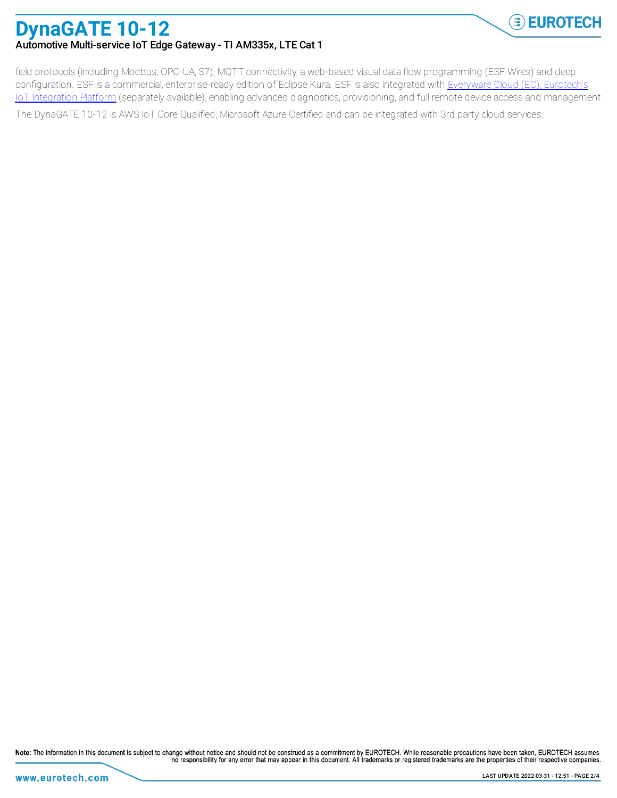

## **DynaGATE 10-12** Automotive Multi-service IoT Edge Gateway - TI AM335x, LTE Cat 1

field protocols (including Modbus, OPC-UA, S7), MQTT connectivity, a web-based visual data flow programming (ESF Wires) and deep configuration. ESF is a commercial, enterprise-ready edition of Eclipse Kura. ESF is also integrated with Everyware Cloud (EC), Eurotech's IoT Integration Platform (separately available), enabling advanced diagnostics, provisioning, and full remote device access and management The DynaGATE 10-12 is AWS IoT Core Qualified, Microsoft Azure Certified and can be integrated with 3rd party cloud services.

Note: The information in this document is subject to change without notice and should not be construed as a commitment by EUROTECH. While reasonable precautions have been taken, EUROTECH assumes no responsibility for any error that may appear in this document. All trademarks or registered trademarks are the properties of their respective companies.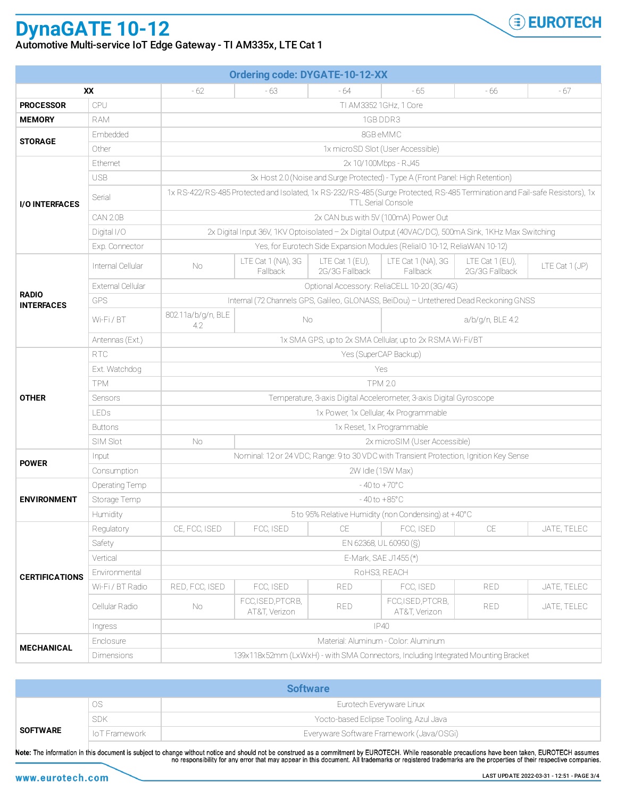## **DynaGATE 10-12** Automotive Multi-service IoT Edge Gateway - TI AM335x, LTE Cat 1

| <b>Ordering code: DYGATE-10-12-XX</b> |                          |                                                                                                                                                   |                                    |                                     |                                    |                                   |                |  |  |
|---------------------------------------|--------------------------|---------------------------------------------------------------------------------------------------------------------------------------------------|------------------------------------|-------------------------------------|------------------------------------|-----------------------------------|----------------|--|--|
| <b>XX</b>                             |                          | - 62                                                                                                                                              | $-63$                              | $-64$                               | $-65$                              | - 66                              | - 67           |  |  |
| <b>PROCESSOR</b>                      | CPU                      | TI AM3352 1GHz, 1 Core                                                                                                                            |                                    |                                     |                                    |                                   |                |  |  |
| <b>MEMORY</b>                         | <b>RAM</b>               | 1GB DDR3                                                                                                                                          |                                    |                                     |                                    |                                   |                |  |  |
| <b>STORAGE</b>                        | Embedded                 | 8GB eMMC                                                                                                                                          |                                    |                                     |                                    |                                   |                |  |  |
|                                       | Other                    | 1x microSD Slot (User Accessible)                                                                                                                 |                                    |                                     |                                    |                                   |                |  |  |
| <b>I/O INTERFACES</b>                 | Ethernet                 | 2x 10/100Mbps - RJ45                                                                                                                              |                                    |                                     |                                    |                                   |                |  |  |
|                                       | <b>USB</b>               | 3x Host 2.0 (Noise and Surge Protected) - Type A (Front Panel: High Retention)                                                                    |                                    |                                     |                                    |                                   |                |  |  |
|                                       | Serial                   | 1x RS-422/RS-485 Protected and Isolated, 1x RS-232/RS-485 (Surge Protected, RS-485 Termination and Fail-safe Resistors), 1x<br>TTL Serial Console |                                    |                                     |                                    |                                   |                |  |  |
|                                       | CAN 2.0B                 | 2x CAN bus with 5V (100mA) Power Out                                                                                                              |                                    |                                     |                                    |                                   |                |  |  |
|                                       | Digital I/O              | 2x Digital Input 36V, 1KV Optoisolated - 2x Digital Output (40VAC/DC), 500mA Sink, 1KHz Max Switching                                             |                                    |                                     |                                    |                                   |                |  |  |
|                                       | Exp. Connector           | Yes, for Eurotech Side Expansion Modules (ReliaIO 10-12, ReliaWAN 10-12)                                                                          |                                    |                                     |                                    |                                   |                |  |  |
| <b>RADIO</b><br><b>INTERFACES</b>     | Internal Cellular        | No.                                                                                                                                               | LTE Cat 1 (NA), 3G<br>Fallback     | LTE Cat $1$ (EU),<br>2G/3G Fallback | LTE Cat 1 (NA), 3G<br>Fallback     | LTE Cat 1 (EU),<br>2G/3G Fallback | LTE Cat 1 (JP) |  |  |
|                                       | <b>External Cellular</b> | Optional Accessory: ReliaCELL 10-20 (3G/4G)                                                                                                       |                                    |                                     |                                    |                                   |                |  |  |
|                                       | <b>GPS</b>               | Internal (72 Channels GPS, Galileo, GLONASS, BeiDou) - Untethered Dead Reckoning GNSS                                                             |                                    |                                     |                                    |                                   |                |  |  |
|                                       | Wi-Fi/BT                 | 802.11a/b/g/n, BLE<br>4.2                                                                                                                         | No<br>a/b/g/n, BLE 4.2             |                                     |                                    |                                   |                |  |  |
|                                       | Antennas (Ext.)          | 1x SMA GPS, up to 2x SMA Cellular, up to 2x RSMA Wi-Fi/BT                                                                                         |                                    |                                     |                                    |                                   |                |  |  |
|                                       | <b>RTC</b>               | Yes (SuperCAP Backup)                                                                                                                             |                                    |                                     |                                    |                                   |                |  |  |
| <b>OTHER</b>                          | Ext. Watchdog            | Yes                                                                                                                                               |                                    |                                     |                                    |                                   |                |  |  |
|                                       | <b>TPM</b>               | <b>TPM 2.0</b>                                                                                                                                    |                                    |                                     |                                    |                                   |                |  |  |
|                                       | Sensors                  | Temperature, 3-axis Digital Accelerometer, 3-axis Digital Gyroscope                                                                               |                                    |                                     |                                    |                                   |                |  |  |
|                                       | <b>LEDs</b>              | 1x Power, 1x Cellular, 4x Programmable                                                                                                            |                                    |                                     |                                    |                                   |                |  |  |
|                                       | <b>Buttons</b>           | 1x Reset, 1x Programmable                                                                                                                         |                                    |                                     |                                    |                                   |                |  |  |
|                                       | SIM Slot                 | No.                                                                                                                                               | 2x microSIM (User Accessible)      |                                     |                                    |                                   |                |  |  |
| <b>POWER</b>                          | Input                    | Nominal: 12 or 24 VDC; Range: 9 to 30 VDC with Transient Protection, Ignition Key Sense                                                           |                                    |                                     |                                    |                                   |                |  |  |
|                                       | Consumption              | 2W Idle (15W Max)                                                                                                                                 |                                    |                                     |                                    |                                   |                |  |  |
|                                       | Operating Temp           | $-40$ to $+70^{\circ}$ C                                                                                                                          |                                    |                                     |                                    |                                   |                |  |  |
| <b>ENVIRONMENT</b>                    | Storage Temp             | $-40$ to $+85^{\circ}$ C                                                                                                                          |                                    |                                     |                                    |                                   |                |  |  |
|                                       | Humidity                 | 5 to 95% Relative Humidity (non Condensing) at +40°C                                                                                              |                                    |                                     |                                    |                                   |                |  |  |
| <b>CERTIFICATIONS</b>                 | Regulatory               | CE, FCC, ISED                                                                                                                                     | FCC, ISED                          | <b>CE</b>                           | FCC, ISED                          | CE                                | JATE, TELEC    |  |  |
|                                       | Safety                   | EN 62368, UL 60950 (S)                                                                                                                            |                                    |                                     |                                    |                                   |                |  |  |
|                                       | Vertical                 | E-Mark, SAE J1455 (*)                                                                                                                             |                                    |                                     |                                    |                                   |                |  |  |
|                                       | Environmental            | RoHS3, REACH                                                                                                                                      |                                    |                                     |                                    |                                   |                |  |  |
|                                       | Wi-Fi / BT Radio         | RED, FCC, ISED                                                                                                                                    | FCC, ISED                          | <b>RED</b>                          | FCC, ISED                          | <b>RED</b>                        | JATE, TELEC    |  |  |
|                                       | Cellular Radio           | No.                                                                                                                                               | FCC, ISED, PTCRB,<br>AT&T, Verizon | <b>RED</b>                          | FCC, ISED, PTCRB,<br>AT&T, Verizon | <b>RED</b>                        | JATE, TELEC    |  |  |
|                                       | Ingress                  | $ P40\rangle$                                                                                                                                     |                                    |                                     |                                    |                                   |                |  |  |
| <b>MECHANICAL</b>                     | Enclosure                | Material: Aluminum - Color: Aluminum                                                                                                              |                                    |                                     |                                    |                                   |                |  |  |
|                                       | Dimensions               | 139x118x52mm (LxWxH) - with SMA Connectors, Including Integrated Mounting Bracket                                                                 |                                    |                                     |                                    |                                   |                |  |  |

| <b>Software</b> |                                          |  |  |  |  |  |
|-----------------|------------------------------------------|--|--|--|--|--|
| ОS              | Eurotech Everyware Linux                 |  |  |  |  |  |
| SDK             | Yocto-based Eclipse Tooling, Azul Java   |  |  |  |  |  |
| IoT Framework   | Everyware Software Framework (Java/OSGi) |  |  |  |  |  |
|                 |                                          |  |  |  |  |  |

Note: The information in this document is subject to change without notice and should not be construed as a commitment by EUROTECH. While reasonable precautions have been taken, EUROTECH assumes<br>no responsibility for any e